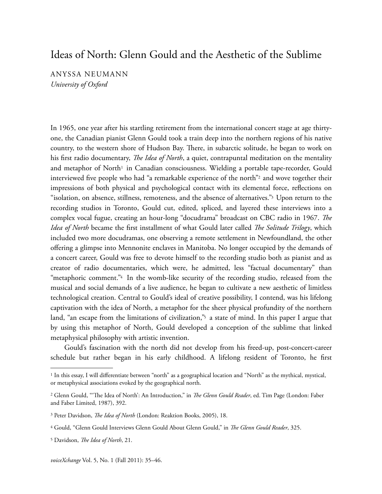## Ideas of North: Glenn Gould and the Aesthetic of the Sublime

ANYSSA NEUMANN *University of Oxford*

In 1965, one year after his startling retirement from the international concert stage at age thirtyone, the Canadian pianist Glenn Gould took a train deep into the northern regions of his native country, to the western shore of Hudson Bay. There, in subarctic solitude, he began to work on his first radio documentary, *The Idea of North*, a quiet, contrapuntal meditation on the mentality and metaphor of North<sup>[1](#page-0-0)</sup> in Canadian consciousness. Wielding a portable tape-recorder, Gould interviewed five people who had "a remarkable experience of the north"[2](#page-0-1) and wove together their impressions of both physical and psychological contact with its elemental force, reflections on "isolation, on absence, stillness, remoteness, and the absence of alternatives."[3](#page-0-2) Upon return to the recording studios in Toronto, Gould cut, edited, spliced, and layered these interviews into a complex vocal fugue, creating an hour-long "docudrama" broadcast on CBC radio in 1967. *The Idea of North* became the first installment of what Gould later called *The Solitude Trilogy*, which included two more docudramas, one observing a remote settlement in Newfoundland, the other offering a glimpse into Mennonite enclaves in Manitoba. No longer occupied by the demands of a concert career, Gould was free to devote himself to the recording studio both as pianist and as creator of radio documentaries, which were, he admitted, less "factual documentary" than "metaphoric comment."<sup>[4](#page-0-3)</sup> In the womb-like security of the recording studio, released from the musical and social demands of a live audience, he began to cultivate a new aesthetic of limitless technological creation. Central to Gould's ideal of creative possibility, I contend, was his lifelong captivation with the idea of North, a metaphor for the sheer physical profundity of the northern land, "an escape from the limitations of civilization," a state of mind. In this paper I argue that by using this metaphor of North, Gould developed a conception of the sublime that linked metaphysical philosophy with artistic invention.

 Gould's fascination with the north did not develop from his freed-up, post-concert-career schedule but rather began in his early childhood. A lifelong resident of Toronto, he first

<span id="page-0-0"></span><sup>1</sup> In this essay, I will differentiate between "north" as a geographical location and "North" as the mythical, mystical, or metaphysical associations evoked by the geographical north.

<span id="page-0-1"></span><sup>&</sup>lt;sup>2</sup> Glenn Gould, "'The Idea of North': An Introduction," in *The Glenn Gould Reader*, ed. Tim Page (London: Faber and Faber Limited, 1987), 392.

<span id="page-0-2"></span><sup>&</sup>lt;sup>3</sup> Peter Davidson, *The Idea of North* (London: Reaktion Books, 2005), 18.

<span id="page-0-3"></span><sup>&</sup>lt;sup>4</sup> Gould, "Glenn Gould Interviews Glenn Gould About Glenn Gould," in *The Glenn Gould Reader*, 325.

<span id="page-0-4"></span><sup>&</sup>lt;sup>5</sup> Davidson, *The Idea of North*, 21.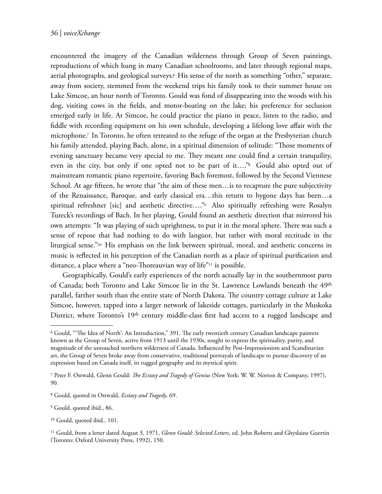## 36 | *voiceXchange*

encountered the imagery of the Canadian wilderness through Group of Seven paintings, reproductions of which hung in many Canadian schoolrooms, and later through regional maps, aerial photographs, and geological surveys.<sup>[6](#page-1-0)</sup> His sense of the north as something "other," separate, away from society, stemmed from the weekend trips his family took to their summer house on Lake Simcoe, an hour north of Toronto. Gould was fond of disappearing into the woods with his dog, visiting cows in the fields, and motor-boating on the lake; his preference for seclusion emerged early in life. At Simcoe, he could practice the piano in peace, listen to the radio, and fiddle with recording equipment on his own schedule, developing a lifelong love affair with the microphone.[7](#page-1-1) In Toronto, he often retreated to the refuge of the organ at the Presbyterian church his family attended, playing Bach, alone, in a spiritual dimension of solitude: "Those moments of evening sanctuary became very special to me. They meant one could find a certain tranquility, even in the city, but only if one opted not to be part of it...."<sup>[8](#page-1-2)</sup> Gould also opted out of mainstream romantic piano repertoire, favoring Bach foremost, followed by the Second Viennese School. At age fifteen, he wrote that "the aim of these men...is to recapture the pure subjectivity of the Renaissance, Baroque, and early classical era…this return to bygone days has been…a spiritual refreshner [sic] and aesthetic directive…."[9](#page-1-3) Also spiritually refreshing were Rosalyn Tureck's recordings of Bach. In her playing, Gould found an aesthetic direction that mirrored his own attempts: "It was playing of such uprightness, to put it in the moral sphere. There was such a sense of repose that had nothing to do with languor, but rather with moral rectitude in the liturgical sense."[10](#page-1-4) His emphasis on the link between spiritual, moral, and aesthetic concerns in music is reflected in his perception of the Canadian north as a place of spiritual purification and distance, a place where a "neo-Thoreauvian way of life"<sup>[11](#page-1-5)</sup> is possible.

 Geographically, Gould's early experiences of the north actually lay in the southernmost parts of Canada; both Toronto and Lake Simcoe lie in the St. Lawrence Lowlands beneath the 49th parallel, farther south than the entire state of North Dakota. The country cottage culture at Lake Simcoe, however, tapped into a larger network of lakeside cottages, particularly in the Muskoka District, where Toronto's 19<sup>th</sup> century middle-class first had access to a rugged landscape and

<span id="page-1-0"></span><sup>&</sup>lt;sup>6</sup> Gould, "The Idea of North': An Introduction," 391. The early twentieth century Canadian landscape painters known as the Group of Seven, active from 1913 until the 1930s, sought to express the spirituality, purity, and magnitude of the untouched northern wilderness of Canada. Influenced by Post-Impressionism and Scandinavian art, the Group of Seven broke away from conservative, traditional portrayals of landscape to pursue discovery of an expression based on Canada itself, its rugged geography and its mystical spirit.

<span id="page-1-1"></span><sup>7</sup> Peter F. Ostwald, Glenn Gould: *The Ecstasy and Tragedy of Genius* (New York: W. W. Norton & Company, 1997), 90.

<span id="page-1-2"></span><sup>8</sup> Gould, quoted in Ostwald, *Ecstasy and Tragedy*, 69.

<span id="page-1-3"></span><sup>9</sup> Gould, quoted ibid., 86.

<span id="page-1-4"></span><sup>10</sup> Gould, quoted ibid., 101.

<span id="page-1-5"></span><sup>11</sup> Gould, from a letter dated August 3, 1971, *Glenn Gould: Selected Letters*, ed. John Roberts and Ghyslaine Guertin (Toronto: Oxford University Press, 1992), 150.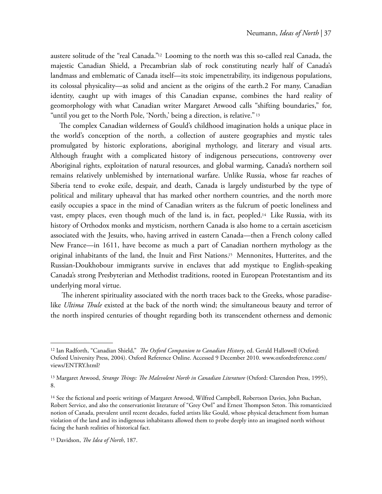austere solitude of the "real Canada."[12](#page-2-0) Looming to the north was this so-called real Canada, the majestic Canadian Shield, a Precambrian slab of rock constituting nearly half of Canada's landmass and emblematic of Canada itself—its stoic impenetrability, its indigenous populations, its colossal physicality—as solid and ancient as the origins of the earth.2 For many, Canadian identity, caught up with images of this Canadian expanse, combines the hard reality of geomorphology with what Canadian writer Margaret Atwood calls "shifting boundaries," for, "until you get to the North Pole, 'North,' being a direction, is relative."<sup>[13](#page-2-1)</sup>

The complex Canadian wilderness of Gould's childhood imagination holds a unique place in the world's conception of the north, a collection of austere geographies and mystic tales promulgated by historic explorations, aboriginal mythology, and literary and visual arts. Although fraught with a complicated history of indigenous persecutions, controversy over Aboriginal rights, exploitation of natural resources, and global warming, Canada's northern soil remains relatively unblemished by international warfare. Unlike Russia, whose far reaches of Siberia tend to evoke exile, despair, and death, Canada is largely undisturbed by the type of political and military upheaval that has marked other northern countries, and the north more easily occupies a space in the mind of Canadian writers as the fulcrum of poetic loneliness and vast, empty places, even though much of the land is, in fact, peopled.[14](#page-2-2) Like Russia, with its history of Orthodox monks and mysticism, northern Canada is also home to a certain asceticism associated with the Jesuits, who, having arrived in eastern Canada—then a French colony called New France—in 1611, have become as much a part of Canadian northern mythology as the original inhabitants of the land, the Inuit and First Nations.[15](#page-2-3) Mennonites, Hutterites, and the Russian-Doukhobour immigrants survive in enclaves that add mystique to English-speaking Canada's strong Presbyterian and Methodist traditions, rooted in European Protestantism and its underlying moral virtue.

The inherent spirituality associated with the north traces back to the Greeks, whose paradiselike *Ultima Thule* existed at the back of the north wind; the simultaneous beauty and terror of the north inspired centuries of thought regarding both its transcendent otherness and demonic

<span id="page-2-0"></span><sup>&</sup>lt;sup>12</sup> Ian Radforth, "Canadian Shield," *The Oxford Companion to Canadian History*, ed. Gerald Hallowell (Oxford: Oxford University Press, 2004). Oxford Reference Online. Accessed 9 December 2010. www.oxfordreference.com/ views/ENTRY.html?

<span id="page-2-1"></span><sup>&</sup>lt;sup>13</sup> Margaret Atwood, *Strange Things: The Malevolent North in Canadian Literature* (Oxford: Clarendon Press, 1995), 8.

<span id="page-2-2"></span><sup>14</sup> See the fictional and poetic writings of Margaret Atwood, Wilfred Campbell, Robertson Davies, John Buchan, Robert Service, and also the conservationist literature of "Grey Owl" and Ernest Thompson Seton. This romanticized notion of Canada, prevalent until recent decades, fueled artists like Gould, whose physical detachment from human violation of the land and its indigenous inhabitants allowed them to probe deeply into an imagined north without facing the harsh realities of historical fact.

<span id="page-2-3"></span><sup>&</sup>lt;sup>15</sup> Davidson, *The Idea of North*, 187.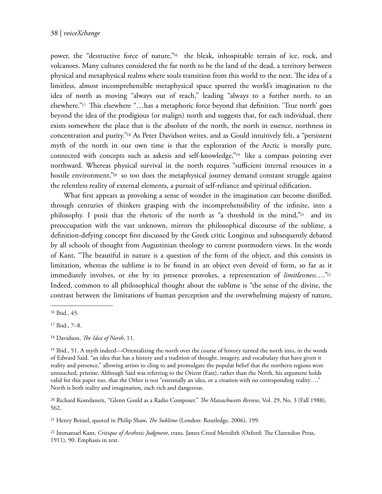power, the "destructive force of nature,"[16](#page-3-0) the bleak, inhospitable terrain of ice, rock, and volcanoes. Many cultures considered the far north to be the land of the dead, a territory between physical and metaphysical realms where souls transition from this world to the next. The idea of a limitless, almost incomprehensible metaphysical space spurred the world's imagination to the idea of north as moving "always out of reach," leading "always to a further north, to an elsewhere."<sup>[17](#page-3-1)</sup> This elsewhere "…has a metaphoric force beyond that definition. 'True north' goes beyond the idea of the prodigious (or malign) north and suggests that, for each individual, there exists somewhere the place that is the absolute of the north, the north in essence, northness in concentration and purity."[18](#page-3-2) As Peter Davidson writes, and as Gould intuitively felt, a "persistent myth of the north in our own time is that the exploration of the Arctic is morally pure, connected with concepts such as askesis and self-knowledge,"[19](#page-3-3) like a compass pointing ever northward. Whereas physical survival in the north requires "sufficient internal resources in a hostile environment,"<sup>[20](#page-3-4)</sup> so too does the metaphysical journey demand constant struggle against the relentless reality of external elements, a pursuit of self-reliance and spiritual edification.

 What first appears as provoking a sense of wonder in the imagination can become distilled, through centuries of thinkers grasping with the incomprehensibility of the infinite, into a philosophy. I posit that the rhetoric of the north as "a threshold in the mind,"[21](#page-3-5) and its preoccupation with the vast unknown, mirrors the philosophical discourse of the sublime, a definition-defying concept first discussed by the Greek critic Longinus and subsequently debated by all schools of thought from Augustinian theology to current postmodern views. In the words of Kant, "The beautiful in nature is a question of the form of the object, and this consists in limitation, whereas the sublime is to be found in an object even devoid of form, so far as it immediately involves, or else by its presence provokes, a representation of *limitlessness*…."[22](#page-3-6) Indeed, common to all philosophical thought about the sublime is "the sense of the divine, the contrast between the limitations of human perception and the overwhelming majesty of nature,

<span id="page-3-5"></span><sup>21</sup> Henry Beissel, quoted in Philip Shaw, *The Sublime* (London: Routledge, 2006), 199.

<span id="page-3-6"></span><sup>22</sup> Immanuel Kant, *Critique of Aesthetic Judgment*, trans. James Creed Meredith (Oxford: The Clarendon Press, 1911), 90. Emphasis in text.

<span id="page-3-0"></span><sup>16</sup> Ibid., 45.

<span id="page-3-1"></span><sup>17</sup> Ibid., 7–8.

<span id="page-3-2"></span><sup>&</sup>lt;sup>18</sup> Davidson, *The Idea of North*, 11.

<span id="page-3-3"></span><sup>19</sup> Ibid., 51. A myth indeed—Orientalizing the north over the course of history turned the north into, in the words of Edward Said, "an idea that has a history and a tradition of thought, imagery, and vocabulary that have given it reality and presence," allowing artists to cling to and promulgate the popular belief that the northern regions were untouched, pristine. Although Said was referring to the Orient (East), rather than the North, his argument holds valid for this paper too, that the Other is not "essentially an idea, or a creation with no corresponding reality…." North is both reality and imagination, each rich and dangerous.

<span id="page-3-4"></span><sup>&</sup>lt;sup>20</sup> Richard Kostelanetz, "Glenn Gould as a Radio Composer." *The Massachusetts Review*, Vol. 29, No. 3 (Fall 1988), 562.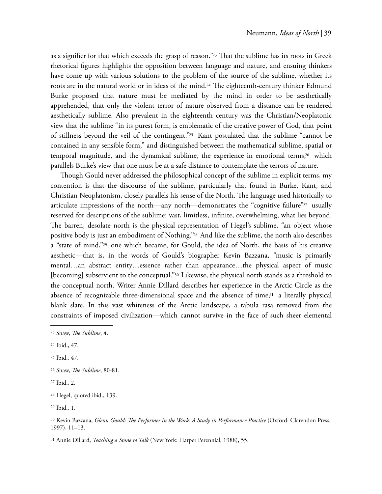as a signifier for that which exceeds the grasp of reason." $23$  That the sublime has its roots in Greek rhetorical figures highlights the opposition between language and nature, and ensuing thinkers have come up with various solutions to the problem of the source of the sublime, whether its roots are in the natural world or in ideas of the mind.<sup>[24](#page-4-1)</sup> The eighteenth-century thinker Edmund Burke proposed that nature must be mediated by the mind in order to be aesthetically apprehended, that only the violent terror of nature observed from a distance can be rendered aesthetically sublime. Also prevalent in the eighteenth century was the Christian/Neoplatonic view that the sublime "in its purest form, is emblematic of the creative power of God, that point of stillness beyond the veil of the contingent."[25](#page-4-2) Kant postulated that the sublime "cannot be contained in any sensible form," and distinguished between the mathematical sublime, spatial or temporal magnitude, and the dynamical sublime, the experience in emotional terms,<sup>[26](#page-4-3)</sup> which parallels Burke's view that one must be at a safe distance to contemplate the terrors of nature.

Though Gould never addressed the philosophical concept of the sublime in explicit terms, my contention is that the discourse of the sublime, particularly that found in Burke, Kant, and Christian Neoplatonism, closely parallels his sense of the North. The language used historically to articulate impressions of the north—any north—demonstrates the "cognitive failure"<sup>[27](#page-4-4)</sup> usually reserved for descriptions of the sublime: vast, limitless, infinite, overwhelming, what lies beyond. The barren, desolate north is the physical representation of Hegel's sublime, "an object whose positive body is just an embodiment of Nothing."[28](#page-4-5) And like the sublime, the north also describes a "state of mind,"[29](#page-4-6) one which became, for Gould, the idea of North, the basis of his creative aesthetic—that is, in the words of Gould's biographer Kevin Bazzana, "music is primarily mental…an abstract entity…essence rather than appearance…the physical aspect of music [becoming] subservient to the conceptual."[30](#page-4-7) Likewise, the physical north stands as a threshold to the conceptual north. Writer Annie Dillard describes her experience in the Arctic Circle as the absence of recognizable three-dimensional space and the absence of time, $31$  a literally physical blank slate. In this vast whiteness of the Arctic landscape, a tabula rasa removed from the constraints of imposed civilization—which cannot survive in the face of such sheer elemental

<span id="page-4-4"></span><sup>27</sup> Ibid., 2.

<span id="page-4-6"></span><sup>29</sup> Ibid., 1.

<span id="page-4-8"></span>31 Annie Dillard, *Teaching a Stone to Talk* (New York: Harper Perennial, 1988), 55.

<span id="page-4-0"></span><sup>&</sup>lt;sup>23</sup> Shaw, *The Sublime*, 4.

<span id="page-4-1"></span><sup>24</sup> Ibid., 47.

<span id="page-4-2"></span><sup>25</sup> Ibid., 47.

<span id="page-4-3"></span><sup>&</sup>lt;sup>26</sup> Shaw, *The Sublime*, 80-81.

<span id="page-4-5"></span><sup>28</sup> Hegel, quoted ibid., 139.

<span id="page-4-7"></span><sup>&</sup>lt;sup>30</sup> Kevin Bazzana, *Glenn Gould: The Performer in the Work: A Study in Performance Practice* (Oxford: Clarendon Press, 1997), 11–13.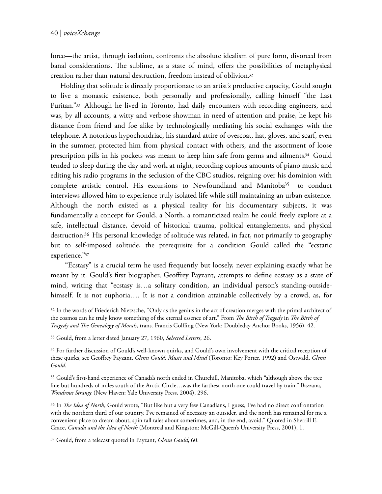force—the artist, through isolation, confronts the absolute idealism of pure form, divorced from banal considerations. The sublime, as a state of mind, offers the possibilities of metaphysical creation rather than natural destruction, freedom instead of oblivion.[32](#page-5-0)

 Holding that solitude is directly proportionate to an artist's productive capacity, Gould sought to live a monastic existence, both personally and professionally, calling himself "the Last Puritan."[33](#page-5-1) Although he lived in Toronto, had daily encounters with recording engineers, and was, by all accounts, a witty and verbose showman in need of attention and praise, he kept his distance from friend and foe alike by technologically mediating his social exchanges with the telephone. A notorious hypochondriac, his standard attire of overcoat, hat, gloves, and scarf, even in the summer, protected him from physical contact with others, and the assortment of loose prescription pills in his pockets was meant to keep him safe from germs and ailments.<sup>[34](#page-5-2)</sup> Gould tended to sleep during the day and work at night, recording copious amounts of piano music and editing his radio programs in the seclusion of the CBC studios, reigning over his dominion with complete artistic control. His excursions to Newfoundland and Manitoba<sup>[35](#page-5-3)</sup> to conduct interviews allowed him to experience truly isolated life while still maintaining an urban existence. Although the north existed as a physical reality for his documentary subjects, it was fundamentally a concept for Gould, a North, a romanticized realm he could freely explore at a safe, intellectual distance, devoid of historical trauma, political entanglements, and physical destruction.[36](#page-5-4) His personal knowledge of solitude was related, in fact, not primarily to geography but to self-imposed solitude, the prerequisite for a condition Gould called the "ecstatic experience."[37](#page-5-5)

 "Ecstasy" is a crucial term he used frequently but loosely, never explaining exactly what he meant by it. Gould's first biographer, Geoffrey Payzant, attempts to define ecstasy as a state of mind, writing that "ecstasy is…a solitary condition, an individual person's standing-outsidehimself. It is not euphoria.... It is not a condition attainable collectively by a crowd, as, for

<span id="page-5-3"></span><sup>35</sup> Gould's first-hand experience of Canada's north ended in Churchill, Manitoba, which "although above the tree line but hundreds of miles south of the Arctic Circle…was the farthest north one could travel by train." Bazzana, *Wondrous Strange* (New Haven: Yale University Press, 2004), 296.

<span id="page-5-4"></span><sup>36</sup> In *The Idea of North*, Gould wrote, "But like but a very few Canadians, I guess, I've had no direct confrontation with the northern third of our country. I've remained of necessity an outsider, and the north has remained for me a convenient place to dream about, spin tall tales about sometimes, and, in the end, avoid." Quoted in Sherrill E. Grace, *Canada and the Idea of North* (Montreal and Kingston: McGill-Queen's University Press, 2001), 1.

<span id="page-5-5"></span>37 Gould, from a telecast quoted in Payzant, *Glenn Gould*, 60.

<span id="page-5-0"></span><sup>&</sup>lt;sup>32</sup> In the words of Friederich Nietzsche, "Only as the genius in the act of creation merges with the primal architect of the cosmos can he truly know something of the eternal essence of art." From *The Birth of Tragedy* in *The Birth of Tragedy and e Genealogy of Morals*, trans. Francis Golffing (New York: Doubleday Anchor Books, 1956), 42.

<span id="page-5-1"></span><sup>33</sup> Gould, from a letter dated January 27, 1960, *Selected Letters*, 26.

<span id="page-5-2"></span><sup>&</sup>lt;sup>34</sup> For further discussion of Gould's well-known quirks, and Gould's own involvement with the critical reception of these quirks, see Geoffrey Payzant, *Glenn Gould: Music and Mind* (Toronto: Key Porter, 1992) and Ostwald, *Glenn Gould*.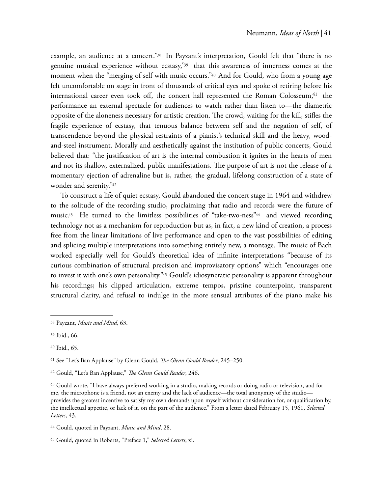example, an audience at a concert."<sup>[38](#page-6-0)</sup> In Payzant's interpretation, Gould felt that "there is no genuine musical experience without ecstasy,"[39](#page-6-1) that this awareness of innerness comes at the moment when the "merging of self with music occurs."[40](#page-6-2) And for Gould, who from a young age felt uncomfortable on stage in front of thousands of critical eyes and spoke of retiring before his international career even took off, the concert hall represented the Roman Colosseum, $41$  the performance an external spectacle for audiences to watch rather than listen to—the diametric opposite of the aloneness necessary for artistic creation. The crowd, waiting for the kill, stifles the fragile experience of ecstasy, that tenuous balance between self and the negation of self, of transcendence beyond the physical restraints of a pianist's technical skill and the heavy, woodand-steel instrument. Morally and aesthetically against the institution of public concerts, Gould believed that: "the justification of art is the internal combustion it ignites in the hearts of men and not its shallow, externalized, public manifestations. The purpose of art is not the release of a momentary ejection of adrenaline but is, rather, the gradual, lifelong construction of a state of wonder and serenity."[42](#page-6-4)

 To construct a life of quiet ecstasy, Gould abandoned the concert stage in 1964 and withdrew to the solitude of the recording studio, proclaiming that radio and records were the future of music.[43](#page-6-5) He turned to the limitless possibilities of "take-two-ness"[44](#page-6-6) and viewed recording technology not as a mechanism for reproduction but as, in fact, a new kind of creation, a process free from the linear limitations of live performance and open to the vast possibilities of editing and splicing multiple interpretations into something entirely new, a montage. The music of Bach worked especially well for Gould's theoretical idea of infinite interpretations "because of its curious combination of structural precision and improvisatory options" which "encourages one to invest it with one's own personality."<sup>[45](#page-6-7)</sup> Gould's idiosyncratic personality is apparent throughout his recordings; his clipped articulation, extreme tempos, pristine counterpoint, transparent structural clarity, and refusal to indulge in the more sensual attributes of the piano make his

<span id="page-6-7"></span>45 Gould, quoted in Roberts, "Preface 1," *Selected Letters*, xi.

<span id="page-6-0"></span><sup>38</sup> Payzant, *Music and Mind*, 63.

<span id="page-6-1"></span><sup>39</sup> Ibid., 66.

<span id="page-6-2"></span><sup>40</sup> Ibid., 65.

<span id="page-6-3"></span><sup>&</sup>lt;sup>41</sup> See "Let's Ban Applause" by Glenn Gould, *The Glenn Gould Reader*, 245-250.

<span id="page-6-4"></span><sup>&</sup>lt;sup>42</sup> Gould, "Let's Ban Applause," *The Glenn Gould Reader*, 246.

<span id="page-6-5"></span><sup>43</sup> Gould wrote, "I have always preferred working in a studio, making records or doing radio or television, and for me, the microphone is a friend, not an enemy and the lack of audience—the total anonymity of the studio provides the greatest incentive to satisfy my own demands upon myself without consideration for, or qualification by, the intellectual appetite, or lack of it, on the part of the audience." From a letter dated February 15, 1961, *Selected Letters*, 43.

<span id="page-6-6"></span><sup>44</sup> Gould, quoted in Payzant, *Music and Mind*, 28.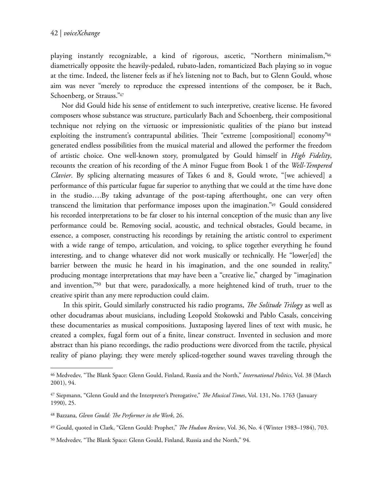playing instantly recognizable, a kind of rigorous, ascetic, "Northern minimalism,"[46](#page-7-0) diametrically opposite the heavily-pedaled, rubato-laden, romanticized Bach playing so in vogue at the time. Indeed, the listener feels as if he's listening not to Bach, but to Glenn Gould, whose aim was never "merely to reproduce the expressed intentions of the composer, be it Bach, Schoenberg, or Strauss."[47](#page-7-1)

 Nor did Gould hide his sense of entitlement to such interpretive, creative license. He favored composers whose substance was structure, particularly Bach and Schoenberg, their compositional technique not relying on the virtuosic or impressionistic qualities of the piano but instead exploiting the instrument's contrapuntal abilities. Their "extreme [compositional] economy"<sup>[48](#page-7-2)</sup> generated endless possibilities from the musical material and allowed the performer the freedom of artistic choice. One well-known story, promulgated by Gould himself in *High Fidelity*, recounts the creation of his recording of the A minor Fugue from Book 1 of the *Well-Tempered Clavier*. By splicing alternating measures of Takes 6 and 8, Gould wrote, "[we achieved] a performance of this particular fugue far superior to anything that we could at the time have done in the studio….By taking advantage of the post-taping afterthought, one can very often transcend the limitation that performance imposes upon the imagination."[49](#page-7-3) Gould considered his recorded interpretations to be far closer to his internal conception of the music than any live performance could be. Removing social, acoustic, and technical obstacles, Gould became, in essence, a composer, constructing his recordings by retaining the artistic control to experiment with a wide range of tempo, articulation, and voicing, to splice together everything he found interesting, and to change whatever did not work musically or technically. He "lower[ed] the barrier between the music he heard in his imagination, and the one sounded in reality," producing montage interpretations that may have been a "creative lie," charged by "imagination and invention,"[50](#page-7-4) but that were, paradoxically, a more heightened kind of truth, truer to the creative spirit than any mere reproduction could claim.

In this spirit, Gould similarly constructed his radio programs, *The Solitude Trilogy* as well as other docudramas about musicians, including Leopold Stokowski and Pablo Casals, conceiving these documentaries as musical compositions. Juxtaposing layered lines of text with music, he created a complex, fugal form out of a finite, linear construct. Invented in seclusion and more abstract than his piano recordings, the radio productions were divorced from the tactile, physical reality of piano playing; they were merely spliced-together sound waves traveling through the

<span id="page-7-0"></span><sup>&</sup>lt;sup>46</sup> Medvedev, "The Blank Space: Glenn Gould, Finland, Russia and the North," *International Politics*, Vol. 38 (March 2001), 94.

<span id="page-7-1"></span><sup>&</sup>lt;sup>47</sup> Siepmann, "Glenn Gould and the Interpreter's Prerogative," *The Musical Times*, Vol. 131, No. 1763 (January 1990), 25.

<span id="page-7-2"></span><sup>48</sup> Bazzana, *Glenn Gould: The Performer in the Work*, 26.

<span id="page-7-3"></span><sup>&</sup>lt;sup>49</sup> Gould, quoted in Clark, "Glenn Gould: Prophet," *The Hudson Review*, Vol. 36, No. 4 (Winter 1983–1984), 703.

<span id="page-7-4"></span><sup>&</sup>lt;sup>50</sup> Medvedev, "The Blank Space: Glenn Gould, Finland, Russia and the North," 94.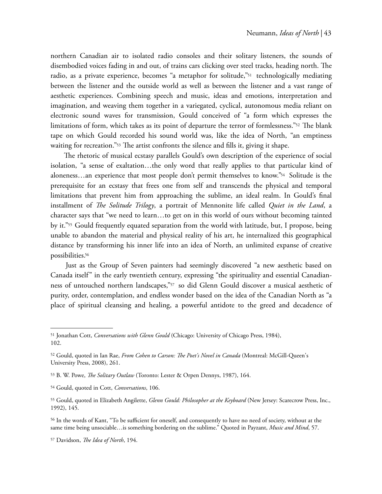northern Canadian air to isolated radio consoles and their solitary listeners, the sounds of disembodied voices fading in and out, of trains cars clicking over steel tracks, heading north. The radio, as a private experience, becomes "a metaphor for solitude,"<sup>[51](#page-8-0)</sup> technologically mediating between the listener and the outside world as well as between the listener and a vast range of aesthetic experiences. Combining speech and music, ideas and emotions, interpretation and imagination, and weaving them together in a variegated, cyclical, autonomous media reliant on electronic sound waves for transmission, Gould conceived of "a form which expresses the limitations of form, which takes as its point of departure the terror of formlessness."<sup>[52](#page-8-1)</sup> The blank tape on which Gould recorded his sound world was, like the idea of North, "an emptiness waiting for recreation."<sup>[53](#page-8-2)</sup> The artist confronts the silence and fills it, giving it shape.

The rhetoric of musical ecstasy parallels Gould's own description of the experience of social isolation, "a sense of exaltation…the only word that really applies to that particular kind of aloneness…an experience that most people don't permit themselves to know."[54](#page-8-3) Solitude is the prerequisite for an ecstasy that frees one from self and transcends the physical and temporal limitations that prevent him from approaching the sublime, an ideal realm. In Gould's final installment of *The Solitude Trilogy*, a portrait of Mennonite life called *Quiet in the Land*, a character says that "we need to learn…to get on in this world of ours without becoming tainted by it."[55](#page-8-4) Gould frequently equated separation from the world with latitude, but, I propose, being unable to abandon the material and physical reality of his art, he internalized this geographical distance by transforming his inner life into an idea of North, an unlimited expanse of creative possibilities.[56](#page-8-5)

 Just as the Group of Seven painters had seemingly discovered "a new aesthetic based on Canada itself" in the early twentieth century, expressing "the spirituality and essential Canadianness of untouched northern landscapes,"[57](#page-8-6) so did Glenn Gould discover a musical aesthetic of purity, order, contemplation, and endless wonder based on the idea of the Canadian North as "a place of spiritual cleansing and healing, a powerful antidote to the greed and decadence of

<span id="page-8-0"></span><sup>51</sup> Jonathan Cott, *Conversations with Glenn Gould* (Chicago: University of Chicago Press, 1984), 102.

<span id="page-8-1"></span><sup>52</sup> Gould, quoted in Ian Rae, *From Cohen to Carson: The Poet's Novel in Canada* (Montreal: McGill-Queen's University Press, 2008), 261.

<span id="page-8-2"></span><sup>53</sup> B. W. Powe, *The Solitary Outlaw* (Toronto: Lester & Orpen Dennys, 1987), 164.

<span id="page-8-3"></span><sup>54</sup> Gould, quoted in Cott, *Conversations*, 106.

<span id="page-8-4"></span><sup>55</sup> Gould, quoted in Elizabeth Angilette, *Glenn Gould: Philosopher at the Keyboard* (New Jersey: Scarecrow Press, Inc., 1992), 145.

<span id="page-8-5"></span><sup>56</sup> In the words of Kant, "To be sufficient for oneself, and consequently to have no need of society, without at the same time being unsociable…is something bordering on the sublime." Quoted in Payzant, *Music and Mind*, 57.

<span id="page-8-6"></span><sup>&</sup>lt;sup>57</sup> Davidson, *The Idea of North*, 194.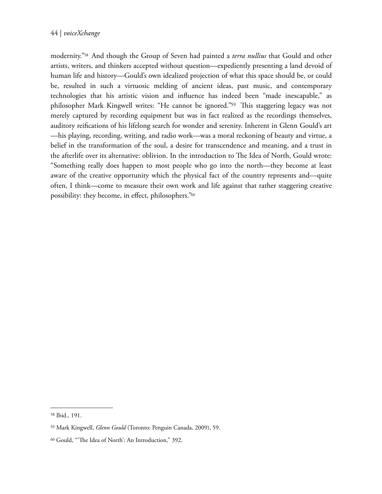modernity."[58](#page-9-0) And though the Group of Seven had painted a *terra nullius* that Gould and other artists, writers, and thinkers accepted without question—expediently presenting a land devoid of human life and history—Gould's own idealized projection of what this space should be, or could be, resulted in such a virtuosic melding of ancient ideas, past music, and contemporary technologies that his artistic vision and influence has indeed been "made inescapable," as philosopher Mark Kingwell writes: "He cannot be ignored."<sup>[59](#page-9-1)</sup> This staggering legacy was not merely captured by recording equipment but was in fact realized as the recordings themselves, auditory reifications of his lifelong search for wonder and serenity. Inherent in Glenn Gould's art —his playing, recording, writing, and radio work—was a moral reckoning of beauty and virtue, a belief in the transformation of the soul, a desire for transcendence and meaning, and a trust in the afterlife over its alternative: oblivion. In the introduction to The Idea of North, Gould wrote: "Something really does happen to most people who go into the north—they become at least aware of the creative opportunity which the physical fact of the country represents and—quite often, I think—come to measure their own work and life against that rather staggering creative possibility: they become, in effect, philosophers."[60](#page-9-2)

<span id="page-9-0"></span><sup>58</sup> Ibid., 191.

<span id="page-9-1"></span><sup>59</sup> Mark Kingwell, *Glenn Gould* (Toronto: Penguin Canada, 2009), 59.

<span id="page-9-2"></span><sup>&</sup>lt;sup>60</sup> Gould, "The Idea of North': An Introduction," 392.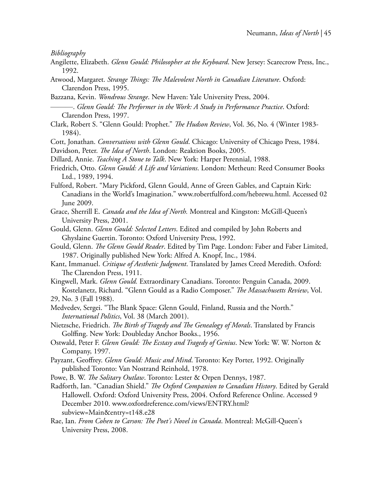*Bibliography*

- Angilette, Elizabeth. *Glenn Gould: Philosopher at the Keyboard*. New Jersey: Scarecrow Press, Inc., 1992.
- Atwood, Margaret. *Strange Things: The Malevolent North in Canadian Literature*. Oxford: Clarendon Press, 1995.
- Bazzana, Kevin. *Wondrous Strange*. New Haven: Yale University Press, 2004.
- —. *Glenn Gould: The Performer in the Work: A Study in Performance Practice*. Oxford: Clarendon Press, 1997.
- Clark, Robert S. "Glenn Gould: Prophet." *The Hudson Review*, Vol. 36, No. 4 (Winter 1983-1984).

Cott, Jonathan. *Conversations with Glenn Gould*. Chicago: University of Chicago Press, 1984. Davidson, Peter. *The Idea of North*. London: Reaktion Books, 2005.

Dillard, Annie. *Teaching A Stone to Talk*. New York: Harper Perennial, 1988.

Friedrich, Otto. *Glenn Gould: A Life and Variations*. London: Metheun: Reed Consumer Books Ltd., 1989, 1994.

- Fulford, Robert. "Mary Pickford, Glenn Gould, Anne of Green Gables, and Captain Kirk: Canadians in the World's Imagination." www.robertfulford.com/hebrewu.html. Accessed 02 June 2009.
- Grace, Sherrill E. *Canada and the Idea of North.* Montreal and Kingston: McGill-Queen's University Press, 2001.
- Gould, Glenn. *Glenn Gould: Selected Letters*. Edited and compiled by John Roberts and Ghyslaine Guertin. Toronto: Oxford University Press, 1992.
- Gould, Glenn. *The Glenn Gould Reader*. Edited by Tim Page. London: Faber and Faber Limited, 1987. Originally published New York: Alfred A. Knopf, Inc., 1984.
- Kant, Immanuel. *Critique of Aesthetic Judgment*. Translated by James Creed Meredith. Oxford: The Clarendon Press, 1911.

Kingwell, Mark. *Glenn Gould.* Extraordinary Canadians. Toronto: Penguin Canada, 2009. Kostelanetz, Richard. "Glenn Gould as a Radio Composer." *The Massachusetts Review*, Vol.

29, No. 3 (Fall 1988).

- Medvedev, Sergei. "The Blank Space: Glenn Gould, Finland, Russia and the North." *International Politics*, Vol. 38 (March 2001).
- Nietzsche, Friedrich. *The Birth of Tragedy and The Genealogy of Morals*. Translated by Francis Golffing. New York: Doubleday Anchor Books., 1956.
- Ostwald, Peter F. *Glenn Gould: The Ecstasy and Tragedy of Genius*. New York: W. W. Norton & Company, 1997.
- Payzant, Geoffrey. *Glenn Gould: Music and Mind*. Toronto: Key Porter, 1992. Originally published Toronto: Van Nostrand Reinhold, 1978.

Powe, B. W. *The Solitary Outlaw*. Toronto: Lester & Orpen Dennys, 1987.

Radforth, Ian. "Canadian Shield." *The Oxford Companion to Canadian History*. Edited by Gerald Hallowell. Oxford: Oxford University Press, 2004. Oxford Reference Online. Accessed 9 December 2010. www.oxfordreference.com/views/ENTRY.html? subview=Main&entry=t148.e28

Rae, Ian. From Cohen to Carson: The Poet's Novel in Canada. Montreal: McGill-Queen's University Press, 2008.